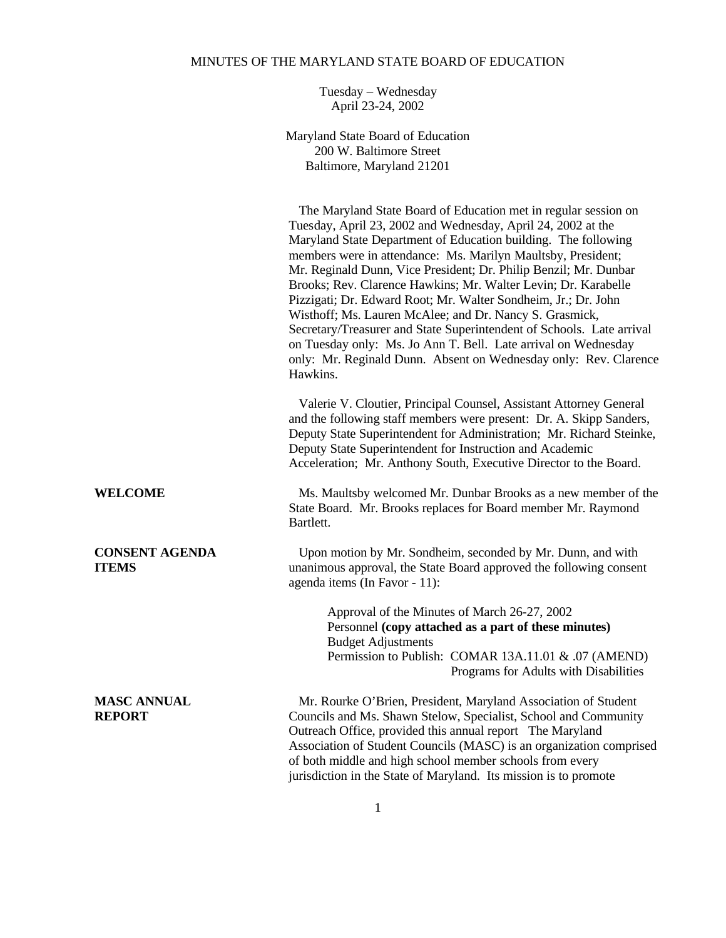# MINUTES OF THE MARYLAND STATE BOARD OF EDUCATION

Tuesday – Wednesday April 23-24, 2002

Maryland State Board of Education 200 W. Baltimore Street Baltimore, Maryland 21201

|                                       | The Maryland State Board of Education met in regular session on<br>Tuesday, April 23, 2002 and Wednesday, April 24, 2002 at the<br>Maryland State Department of Education building. The following<br>members were in attendance: Ms. Marilyn Maultsby, President;<br>Mr. Reginald Dunn, Vice President; Dr. Philip Benzil; Mr. Dunbar<br>Brooks; Rev. Clarence Hawkins; Mr. Walter Levin; Dr. Karabelle<br>Pizzigati; Dr. Edward Root; Mr. Walter Sondheim, Jr.; Dr. John<br>Wisthoff; Ms. Lauren McAlee; and Dr. Nancy S. Grasmick,<br>Secretary/Treasurer and State Superintendent of Schools. Late arrival<br>on Tuesday only: Ms. Jo Ann T. Bell. Late arrival on Wednesday<br>only: Mr. Reginald Dunn. Absent on Wednesday only: Rev. Clarence<br>Hawkins. |  |
|---------------------------------------|-----------------------------------------------------------------------------------------------------------------------------------------------------------------------------------------------------------------------------------------------------------------------------------------------------------------------------------------------------------------------------------------------------------------------------------------------------------------------------------------------------------------------------------------------------------------------------------------------------------------------------------------------------------------------------------------------------------------------------------------------------------------|--|
|                                       | Valerie V. Cloutier, Principal Counsel, Assistant Attorney General<br>and the following staff members were present: Dr. A. Skipp Sanders,<br>Deputy State Superintendent for Administration; Mr. Richard Steinke,<br>Deputy State Superintendent for Instruction and Academic<br>Acceleration; Mr. Anthony South, Executive Director to the Board.                                                                                                                                                                                                                                                                                                                                                                                                              |  |
| <b>WELCOME</b>                        | Ms. Maultsby welcomed Mr. Dunbar Brooks as a new member of the<br>State Board. Mr. Brooks replaces for Board member Mr. Raymond<br>Bartlett.                                                                                                                                                                                                                                                                                                                                                                                                                                                                                                                                                                                                                    |  |
| <b>CONSENT AGENDA</b><br><b>ITEMS</b> | Upon motion by Mr. Sondheim, seconded by Mr. Dunn, and with<br>unanimous approval, the State Board approved the following consent<br>agenda items (In Favor - 11):                                                                                                                                                                                                                                                                                                                                                                                                                                                                                                                                                                                              |  |
|                                       | Approval of the Minutes of March 26-27, 2002<br>Personnel (copy attached as a part of these minutes)<br><b>Budget Adjustments</b><br>Permission to Publish: COMAR 13A.11.01 & .07 (AMEND)<br>Programs for Adults with Disabilities                                                                                                                                                                                                                                                                                                                                                                                                                                                                                                                              |  |
| <b>MASC ANNUAL</b><br><b>REPORT</b>   | Mr. Rourke O'Brien, President, Maryland Association of Student<br>Councils and Ms. Shawn Stelow, Specialist, School and Community<br>Outreach Office, provided this annual report The Maryland<br>Association of Student Councils (MASC) is an organization comprised<br>of both middle and high school member schools from every<br>jurisdiction in the State of Maryland. Its mission is to promote                                                                                                                                                                                                                                                                                                                                                           |  |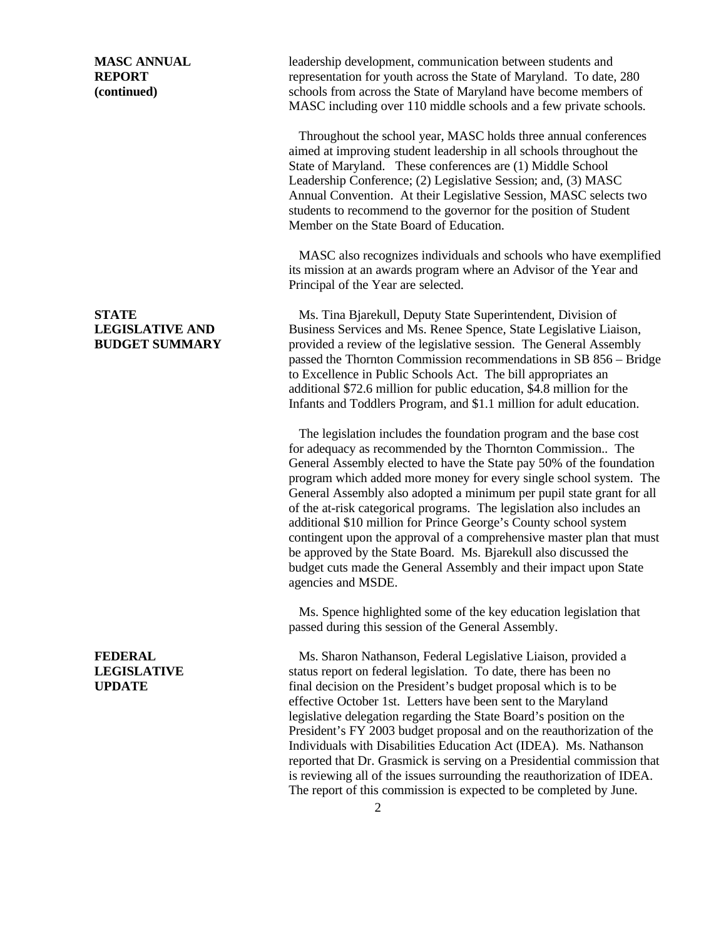**MASC ANNUAL** leadership development, communication between students and **REPORT** representation for youth across the State of Maryland. To date, 280 **(continued)** schools from across the State of Maryland have become members of MASC including over 110 middle schools and a few private schools.

> Throughout the school year, MASC holds three annual conferences aimed at improving student leadership in all schools throughout the State of Maryland. These conferences are (1) Middle School Leadership Conference; (2) Legislative Session; and, (3) MASC Annual Convention. At their Legislative Session, MASC selects two students to recommend to the governor for the position of Student Member on the State Board of Education.

 MASC also recognizes individuals and schools who have exemplified its mission at an awards program where an Advisor of the Year and Principal of the Year are selected.

**STATE** Ms. Tina Bjarekull, Deputy State Superintendent, Division of **LEGISLATIVE AND** Business Services and Ms. Renee Spence, State Legislative Liaison, **BUDGET SUMMARY** provided a review of the legislative session. The General Assembly passed the Thornton Commission recommendations in SB 856 – Bridge to Excellence in Public Schools Act. The bill appropriates an additional \$72.6 million for public education, \$4.8 million for the Infants and Toddlers Program, and \$1.1 million for adult education.

> The legislation includes the foundation program and the base cost for adequacy as recommended by the Thornton Commission.. The General Assembly elected to have the State pay 50% of the foundation program which added more money for every single school system. The General Assembly also adopted a minimum per pupil state grant for all of the at-risk categorical programs. The legislation also includes an additional \$10 million for Prince George's County school system contingent upon the approval of a comprehensive master plan that must be approved by the State Board. Ms. Bjarekull also discussed the budget cuts made the General Assembly and their impact upon State agencies and MSDE.

 Ms. Spence highlighted some of the key education legislation that passed during this session of the General Assembly.

**FEDERAL** Ms. Sharon Nathanson, Federal Legislative Liaison, provided a **LEGISLATIVE** status report on federal legislation. To date, there has been no **UPDATE** final decision on the President's budget proposal which is to be effective October 1st. Letters have been sent to the Maryland legislative delegation regarding the State Board's position on the President's FY 2003 budget proposal and on the reauthorization of the Individuals with Disabilities Education Act (IDEA). Ms. Nathanson reported that Dr. Grasmick is serving on a Presidential commission that is reviewing all of the issues surrounding the reauthorization of IDEA. The report of this commission is expected to be completed by June.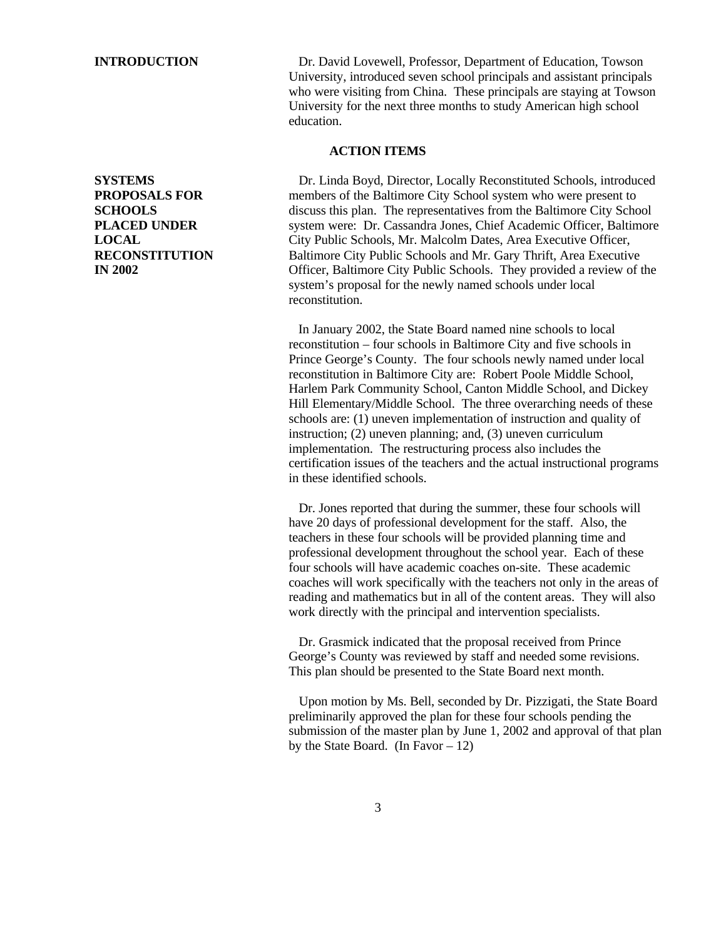**INTRODUCTION** Dr. David Lovewell, Professor, Department of Education, Towson University, introduced seven school principals and assistant principals who were visiting from China. These principals are staying at Towson University for the next three months to study American high school education.

## **ACTION ITEMS**

**SYSTEMS** Dr. Linda Boyd, Director, Locally Reconstituted Schools, introduced **PROPOSALS FOR** members of the Baltimore City School system who were present to **SCHOOLS discuss this plan.** The representatives from the Baltimore City School **PLACED UNDER** system were: Dr. Cassandra Jones, Chief Academic Officer, Baltimore **LOCAL** City Public Schools, Mr. Malcolm Dates, Area Executive Officer, **RECONSTITUTION** Baltimore City Public Schools and Mr. Gary Thrift, Area Executive **IN 2002** Officer, Baltimore City Public Schools. They provided a review of the system's proposal for the newly named schools under local reconstitution.

> In January 2002, the State Board named nine schools to local reconstitution – four schools in Baltimore City and five schools in Prince George's County. The four schools newly named under local reconstitution in Baltimore City are: Robert Poole Middle School, Harlem Park Community School, Canton Middle School, and Dickey Hill Elementary/Middle School. The three overarching needs of these schools are: (1) uneven implementation of instruction and quality of instruction; (2) uneven planning; and, (3) uneven curriculum implementation. The restructuring process also includes the certification issues of the teachers and the actual instructional programs in these identified schools.

> Dr. Jones reported that during the summer, these four schools will have 20 days of professional development for the staff. Also, the teachers in these four schools will be provided planning time and professional development throughout the school year. Each of these four schools will have academic coaches on-site. These academic coaches will work specifically with the teachers not only in the areas of reading and mathematics but in all of the content areas. They will also work directly with the principal and intervention specialists.

 Dr. Grasmick indicated that the proposal received from Prince George's County was reviewed by staff and needed some revisions. This plan should be presented to the State Board next month.

 Upon motion by Ms. Bell, seconded by Dr. Pizzigati, the State Board preliminarily approved the plan for these four schools pending the submission of the master plan by June 1, 2002 and approval of that plan by the State Board. (In Favor  $-12$ )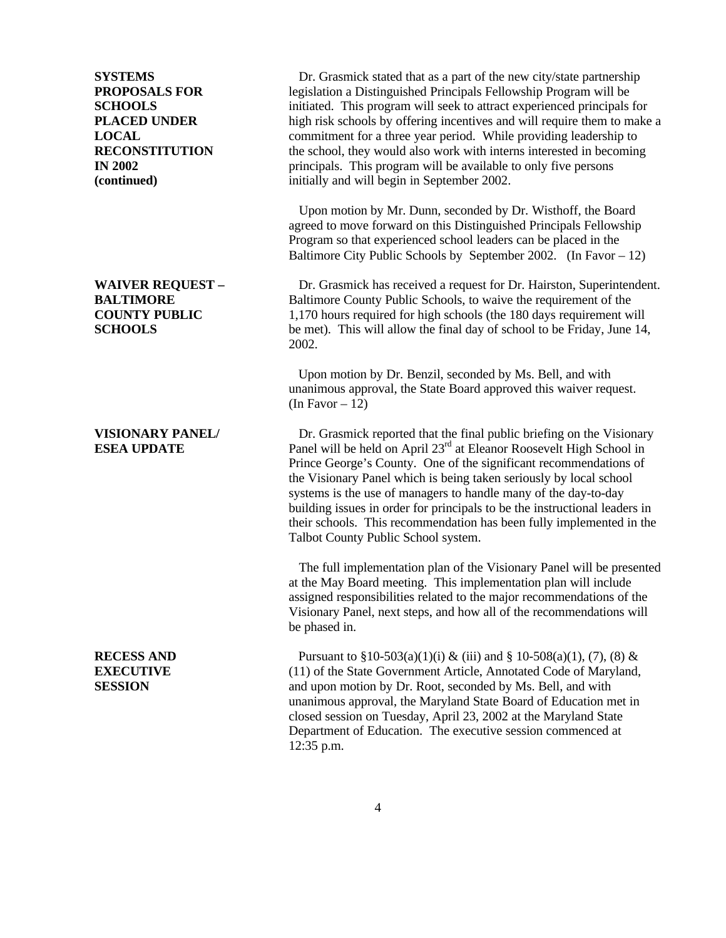**SYSTEMS** Dr. Grasmick stated that as a part of the new city/state partnership **PROPOSALS FOR** legislation a Distinguished Principals Fellowship Program will be **SCHOOLS** initiated. This program will seek to attract experienced principals for **PLACED UNDER** high risk schools by offering incentives and will require them to make a **LOCAL** commitment for a three year period. While providing leadership to **RECONSTITUTION** the school, they would also work with interns interested in becoming **IN 2002** principals. This program will be available to only five persons **(continued)** initially and will begin in September 2002.

> Upon motion by Mr. Dunn, seconded by Dr. Wisthoff, the Board agreed to move forward on this Distinguished Principals Fellowship Program so that experienced school leaders can be placed in the Baltimore City Public Schools by September 2002. (In Favor  $-12$ )

**WAIVER REQUEST –** Dr. Grasmick has received a request for Dr. Hairston, Superintendent. **BALTIMORE** Baltimore County Public Schools, to waive the requirement of the **COUNTY PUBLIC** 1,170 hours required for high schools (the 180 days requirement will **SCHOOLS** be met). This will allow the final day of school to be Friday, June 14, 2002.

> Upon motion by Dr. Benzil, seconded by Ms. Bell, and with unanimous approval, the State Board approved this waiver request. (In Favor  $-12$ )

**VISIONARY PANEL/ Dr.** Grasmick reported that the final public briefing on the Visionary **ESEA UPDATE** Panel will be held on April 23<sup>rd</sup> at Eleanor Roosevelt High School in Prince George's County. One of the significant recommendations of the Visionary Panel which is being taken seriously by local school systems is the use of managers to handle many of the day-to-day building issues in order for principals to be the instructional leaders in their schools. This recommendation has been fully implemented in the Talbot County Public School system.

> The full implementation plan of the Visionary Panel will be presented at the May Board meeting. This implementation plan will include assigned responsibilities related to the major recommendations of the Visionary Panel, next steps, and how all of the recommendations will be phased in.

**RECESS AND** Pursuant to  $\S 10-503(a)(1)(i) \& (iii)$  and  $\S 10-508(a)(1), (7), (8) \& (1)$ **EXECUTIVE** (11) of the State Government Article, Annotated Code of Maryland, **SESSION** and upon motion by Dr. Root, seconded by Ms. Bell, and with unanimous approval, the Maryland State Board of Education met in closed session on Tuesday, April 23, 2002 at the Maryland State Department of Education. The executive session commenced at 12:35 p.m.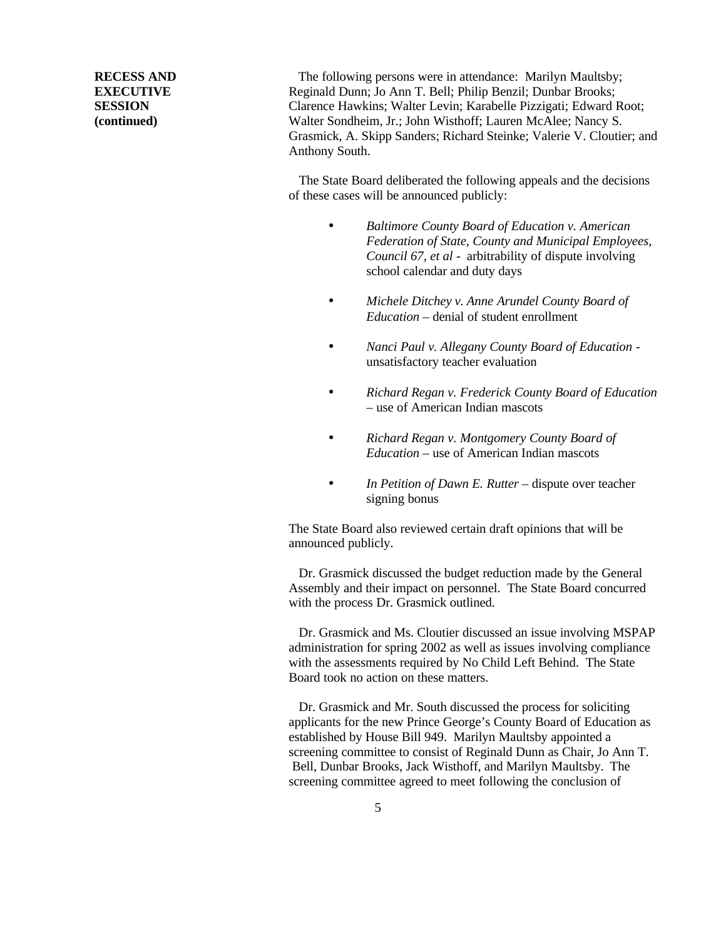**RECESS AND** The following persons were in attendance: Marilyn Maultsby; **EXECUTIVE** Reginald Dunn; Jo Ann T. Bell; Philip Benzil; Dunbar Brooks; **SESSION** Clarence Hawkins; Walter Levin; Karabelle Pizzigati; Edward Root; **(continued)** Walter Sondheim, Jr.; John Wisthoff; Lauren McAlee; Nancy S. Grasmick, A. Skipp Sanders; Richard Steinke; Valerie V. Cloutier; and Anthony South.

> The State Board deliberated the following appeals and the decisions of these cases will be announced publicly:

- *Baltimore County Board of Education v. American Federation of State, County and Municipal Employees, Council 67, et al -* arbitrability of dispute involving school calendar and duty days
- *Michele Ditchey v. Anne Arundel County Board of Education –* denial of student enrollment
- *Nanci Paul v. Allegany County Board of Education*  unsatisfactory teacher evaluation
- *Richard Regan v. Frederick County Board of Education –* use of American Indian mascots
- *Richard Regan v. Montgomery County Board of Education –* use of American Indian mascots
- *In Petition of Dawn E. Rutter dispute over teacher* signing bonus

The State Board also reviewed certain draft opinions that will be announced publicly.

 Dr. Grasmick discussed the budget reduction made by the General Assembly and their impact on personnel. The State Board concurred with the process Dr. Grasmick outlined.

 Dr. Grasmick and Ms. Cloutier discussed an issue involving MSPAP administration for spring 2002 as well as issues involving compliance with the assessments required by No Child Left Behind. The State Board took no action on these matters.

 Dr. Grasmick and Mr. South discussed the process for soliciting applicants for the new Prince George's County Board of Education as established by House Bill 949. Marilyn Maultsby appointed a screening committee to consist of Reginald Dunn as Chair, Jo Ann T. Bell, Dunbar Brooks, Jack Wisthoff, and Marilyn Maultsby. The screening committee agreed to meet following the conclusion of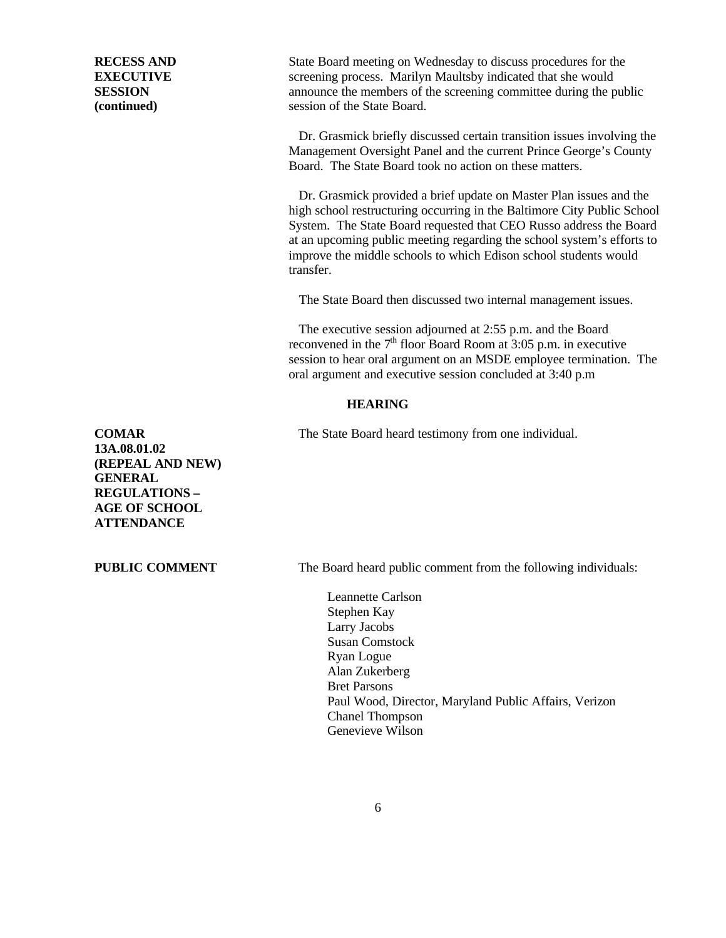**RECESS AND** State Board meeting on Wednesday to discuss procedures for the **EXECUTIVE** screening process. Marilyn Maultsby indicated that she would **SESSION** announce the members of the screening committee during the public **(continued)** session of the State Board.

> Dr. Grasmick provided a brief update on Master Plan issues and the high school restructuring occurring in the Baltimore City Public School System. The State Board requested that CEO Russo address the Board at an upcoming public meeting regarding the school system's efforts to improve the middle schools to which Edison school students would

Board. The State Board took no action on these matters.

 Dr. Grasmick briefly discussed certain transition issues involving the Management Oversight Panel and the current Prince George's County

The State Board then discussed two internal management issues.

 The executive session adjourned at 2:55 p.m. and the Board reconvened in the  $7<sup>th</sup>$  floor Board Room at 3:05 p.m. in executive session to hear oral argument on an MSDE employee termination. The oral argument and executive session concluded at 3:40 p.m

## **HEARING**

transfer.

**COMAR** The State Board heard testimony from one individual.

**13A.08.01.02 (REPEAL AND NEW) GENERAL REGULATIONS – AGE OF SCHOOL ATTENDANCE**

**PUBLIC COMMENT** The Board heard public comment from the following individuals:

Leannette Carlson Stephen Kay Larry Jacobs Susan Comstock Ryan Logue Alan Zukerberg Bret Parsons Paul Wood, Director, Maryland Public Affairs, Verizon Chanel Thompson Genevieve Wilson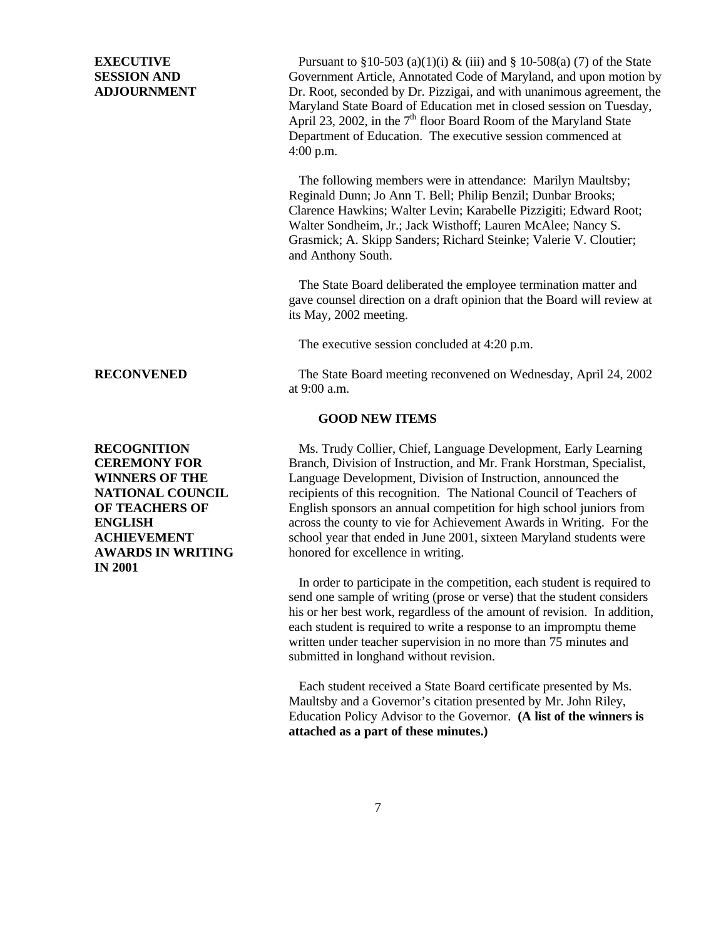**EXECUTIVE** Pursuant to  $\S 10-503$  (a)(1)(i) & (iii) and  $\S 10-508$  (a)(7) of the State **SESSION AND** Government Article, Annotated Code of Maryland, and upon motion by **ADJOURNMENT** Dr. Root, seconded by Dr. Pizzigai, and with unanimous agreement, the Maryland State Board of Education met in closed session on Tuesday, April 23, 2002, in the  $7<sup>th</sup>$  floor Board Room of the Maryland State Department of Education. The executive session commenced at 4:00 p.m.

> The following members were in attendance: Marilyn Maultsby; Reginald Dunn; Jo Ann T. Bell; Philip Benzil; Dunbar Brooks; Clarence Hawkins; Walter Levin; Karabelle Pizzigiti; Edward Root; Walter Sondheim, Jr.; Jack Wisthoff; Lauren McAlee; Nancy S. Grasmick; A. Skipp Sanders; Richard Steinke; Valerie V. Cloutier; and Anthony South.

 The State Board deliberated the employee termination matter and gave counsel direction on a draft opinion that the Board will review at its May, 2002 meeting.

The executive session concluded at 4:20 p.m.

**RECONVENED** The State Board meeting reconvened on Wednesday, April 24, 2002 at 9:00 a.m.

## **GOOD NEW ITEMS**

**RECOGNITION** Ms. Trudy Collier, Chief, Language Development, Early Learning **CEREMONY FOR** Branch, Division of Instruction, and Mr. Frank Horstman, Specialist, **WINNERS OF THE** Language Development, Division of Instruction, announced the **NATIONAL COUNCIL** recipients of this recognition. The National Council of Teachers of **OF TEACHERS OF** English sponsors an annual competition for high school juniors from **ENGLISH** across the county to vie for Achievement Awards in Writing. For the **ACHIEVEMENT** school year that ended in June 2001, sixteen Maryland students were **AWARDS IN WRITING** honored for excellence in writing.

> In order to participate in the competition, each student is required to send one sample of writing (prose or verse) that the student considers his or her best work, regardless of the amount of revision. In addition, each student is required to write a response to an impromptu theme written under teacher supervision in no more than 75 minutes and submitted in longhand without revision.

 Each student received a State Board certificate presented by Ms. Maultsby and a Governor's citation presented by Mr. John Riley, Education Policy Advisor to the Governor. **(A list of the winners is attached as a part of these minutes.)**

**IN 2001**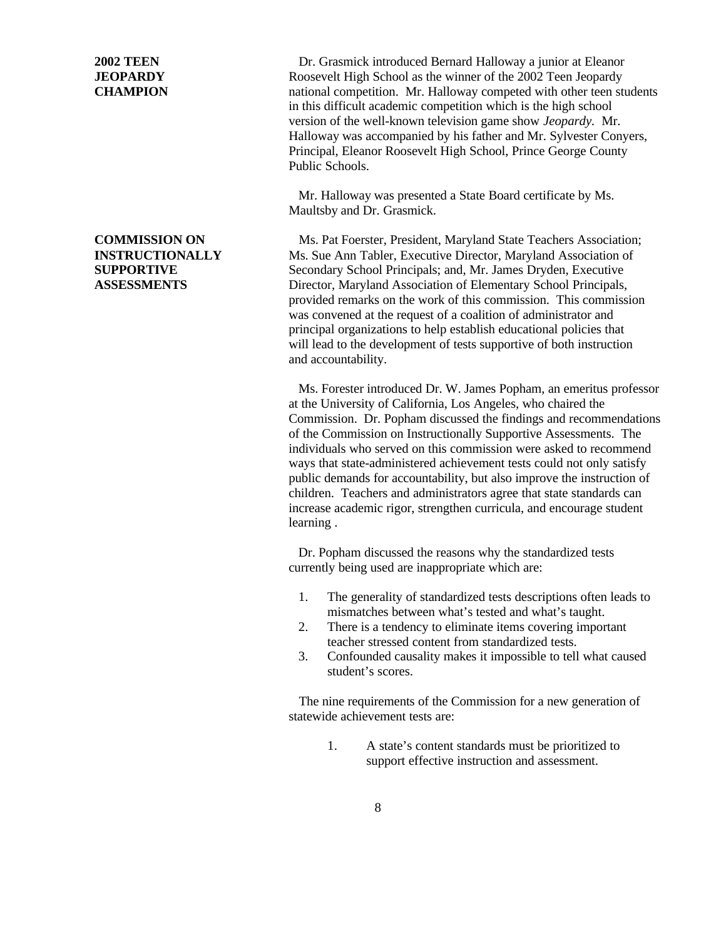**2002 TEEN** Dr. Grasmick introduced Bernard Halloway a junior at Eleanor **JEOPARDY Roosevelt High School as the winner of the 2002 Teen Jeopardy CHAMPION** national competition. Mr. Halloway competed with other teen students in this difficult academic competition which is the high school version of the well-known television game show *Jeopardy.* Mr. Halloway was accompanied by his father and Mr. Sylvester Conyers, Principal, Eleanor Roosevelt High School, Prince George County Public Schools.

> Mr. Halloway was presented a State Board certificate by Ms. Maultsby and Dr. Grasmick.

**COMMISSION ON** Ms. Pat Foerster, President, Maryland State Teachers Association; **INSTRUCTIONALLY** Ms. Sue Ann Tabler, Executive Director, Maryland Association of **SUPPORTIVE** Secondary School Principals; and, Mr. James Dryden, Executive **ASSESSMENTS** Director, Maryland Association of Elementary School Principals, provided remarks on the work of this commission. This commission was convened at the request of a coalition of administrator and principal organizations to help establish educational policies that will lead to the development of tests supportive of both instruction and accountability.

> Ms. Forester introduced Dr. W. James Popham, an emeritus professor at the University of California, Los Angeles, who chaired the Commission. Dr. Popham discussed the findings and recommendations of the Commission on Instructionally Supportive Assessments. The individuals who served on this commission were asked to recommend ways that state-administered achievement tests could not only satisfy public demands for accountability, but also improve the instruction of children. Teachers and administrators agree that state standards can increase academic rigor, strengthen curricula, and encourage student learning .

Dr. Popham discussed the reasons why the standardized tests currently being used are inappropriate which are:

- 1. The generality of standardized tests descriptions often leads to mismatches between what's tested and what's taught.
- 2. There is a tendency to eliminate items covering important teacher stressed content from standardized tests.
- 3. Confounded causality makes it impossible to tell what caused student's scores.

 The nine requirements of the Commission for a new generation of statewide achievement tests are:

> 1. A state's content standards must be prioritized to support effective instruction and assessment.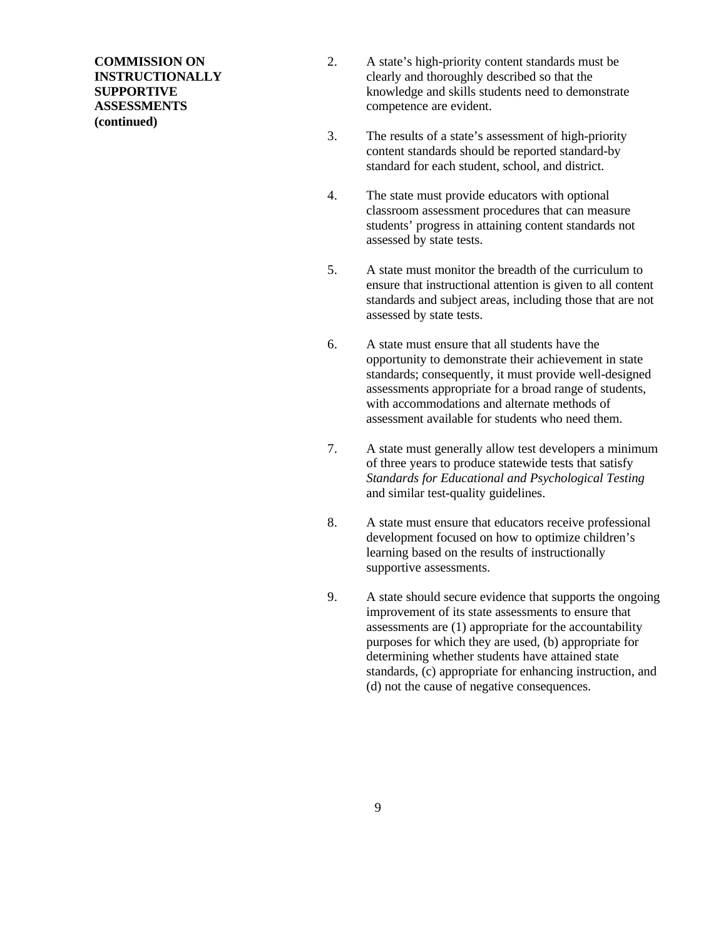**(continued)**

- **COMMISSION ON** 2. A state's high-priority content standards must be **INSTRUCTIONALLY** clearly and thoroughly described so that the **SUPPORTIVE** knowledge and skills students need to demonstrate **ASSESSMENTS** competence are evident.
	- 3. The results of a state's assessment of high-priority content standards should be reported standard-by standard for each student, school, and district.
	- 4. The state must provide educators with optional classroom assessment procedures that can measure students' progress in attaining content standards not assessed by state tests.
	- 5. A state must monitor the breadth of the curriculum to ensure that instructional attention is given to all content standards and subject areas, including those that are not assessed by state tests.
	- 6. A state must ensure that all students have the opportunity to demonstrate their achievement in state standards; consequently, it must provide well-designed assessments appropriate for a broad range of students, with accommodations and alternate methods of assessment available for students who need them.
	- 7. A state must generally allow test developers a minimum of three years to produce statewide tests that satisfy *Standards for Educational and Psychological Testing* and similar test-quality guidelines.
	- 8. A state must ensure that educators receive professional development focused on how to optimize children's learning based on the results of instructionally supportive assessments.
	- 9. A state should secure evidence that supports the ongoing improvement of its state assessments to ensure that assessments are (1) appropriate for the accountability purposes for which they are used, (b) appropriate for determining whether students have attained state standards, (c) appropriate for enhancing instruction, and (d) not the cause of negative consequences.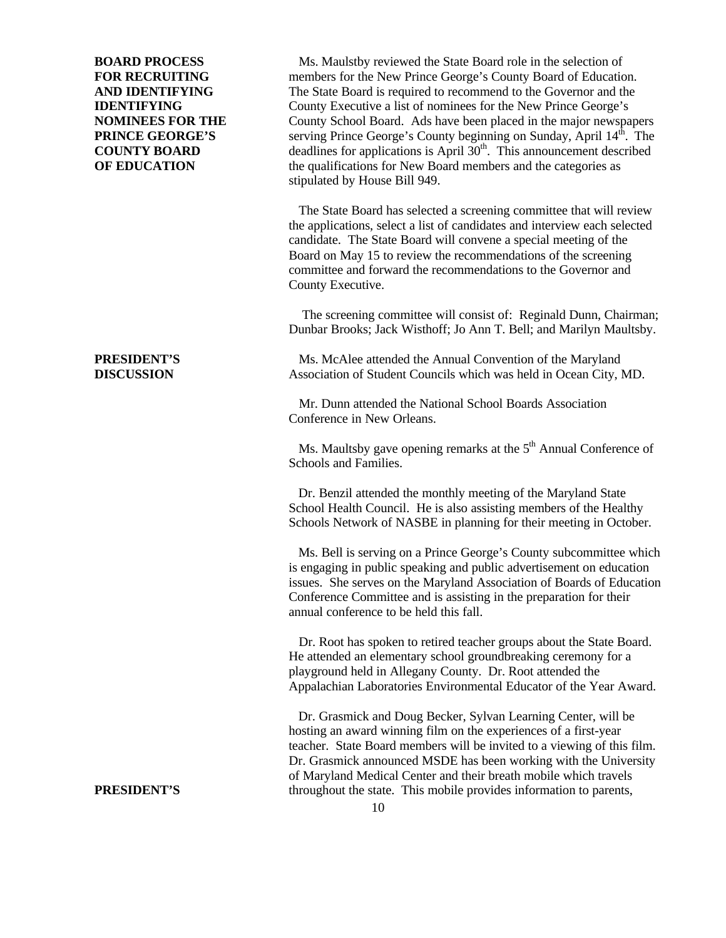**BOARD PROCESS** Ms. Maulstby reviewed the State Board role in the selection of **FOR RECRUITING** members for the New Prince George's County Board of Education. **AND IDENTIFYING** The State Board is required to recommend to the Governor and the **IDENTIFYING** County Executive a list of nominees for the New Prince George's **NOMINEES FOR THE** County School Board. Ads have been placed in the major newspapers **PRINCE GEORGE'S** serving Prince George's County beginning on Sunday, April 14<sup>th</sup>. The **COUNTY BOARD** deadlines for applications is April  $30<sup>th</sup>$ . This announcement described **OF EDUCATION** the qualifications for New Board members and the categories as stipulated by House Bill 949.

> The State Board has selected a screening committee that will review the applications, select a list of candidates and interview each selected candidate. The State Board will convene a special meeting of the Board on May 15 to review the recommendations of the screening committee and forward the recommendations to the Governor and County Executive.

 The screening committee will consist of: Reginald Dunn, Chairman; Dunbar Brooks; Jack Wisthoff; Jo Ann T. Bell; and Marilyn Maultsby.

**PRESIDENT'S** Ms. McAlee attended the Annual Convention of the Maryland **DISCUSSION** Association of Student Councils which was held in Ocean City, MD.

> Mr. Dunn attended the National School Boards Association Conference in New Orleans.

Ms. Maultsby gave opening remarks at the  $5<sup>th</sup>$  Annual Conference of Schools and Families.

Dr. Benzil attended the monthly meeting of the Maryland State School Health Council. He is also assisting members of the Healthy Schools Network of NASBE in planning for their meeting in October.

Ms. Bell is serving on a Prince George's County subcommittee which is engaging in public speaking and public advertisement on education issues. She serves on the Maryland Association of Boards of Education Conference Committee and is assisting in the preparation for their annual conference to be held this fall.

 Dr. Root has spoken to retired teacher groups about the State Board. He attended an elementary school groundbreaking ceremony for a playground held in Allegany County. Dr. Root attended the Appalachian Laboratories Environmental Educator of the Year Award.

Dr. Grasmick and Doug Becker, Sylvan Learning Center, will be hosting an award winning film on the experiences of a first-year teacher. State Board members will be invited to a viewing of this film. Dr. Grasmick announced MSDE has been working with the University of Maryland Medical Center and their breath mobile which travels **PRESIDENT'S** throughout the state. This mobile provides information to parents,